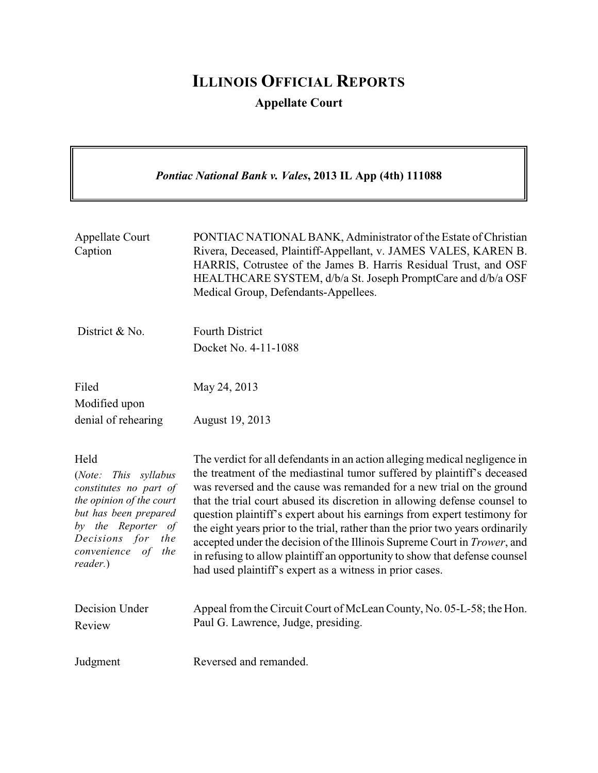## **ILLINOIS OFFICIAL REPORTS**

**Appellate Court**

*Pontiac National Bank v. Vales***, 2013 IL App (4th) 111088** Appellate Court Caption PONTIAC NATIONAL BANK, Administrator of the Estate of Christian Rivera, Deceased, Plaintiff-Appellant, v. JAMES VALES, KAREN B. HARRIS, Cotrustee of the James B. Harris Residual Trust, and OSF HEALTHCARE SYSTEM, d/b/a St. Joseph PromptCare and d/b/a OSF Medical Group, Defendants-Appellees. District & No. Fourth District Docket No. 4-11-1088 Filed Modified upon denial of rehearing May 24, 2013 August 19, 2013 Held (*Note: This syllabus constitutes no part of the opinion of the court but has been prepared by the Reporter of Decisions for the convenience of the reader.*) The verdict for all defendants in an action alleging medical negligence in the treatment of the mediastinal tumor suffered by plaintiff's deceased was reversed and the cause was remanded for a new trial on the ground that the trial court abused its discretion in allowing defense counsel to question plaintiff's expert about his earnings from expert testimony for the eight years prior to the trial, rather than the prior two years ordinarily accepted under the decision of the Illinois Supreme Court in *Trower*, and in refusing to allow plaintiff an opportunity to show that defense counsel had used plaintiff's expert as a witness in prior cases. Decision Under Review Appeal from the Circuit Court of McLean County, No. 05-L-58; the Hon. Paul G. Lawrence, Judge, presiding. Judgment Reversed and remanded.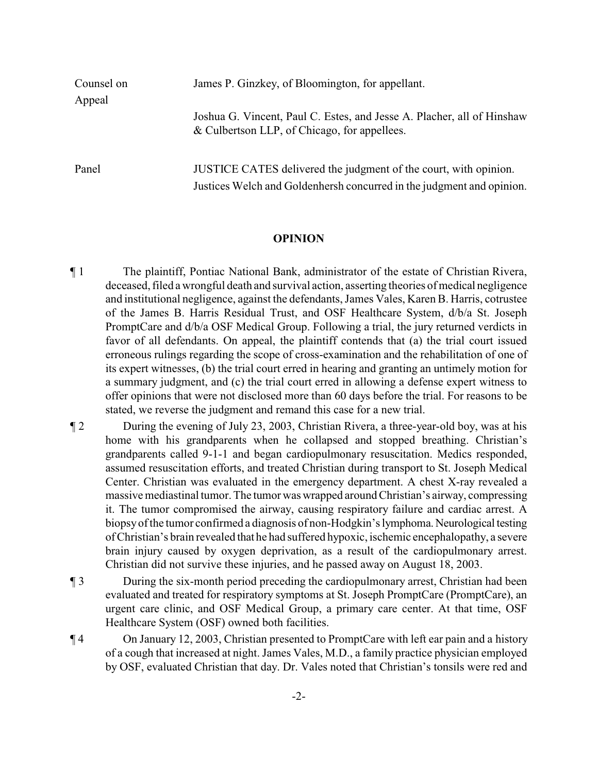| Counsel on | James P. Ginzkey, of Bloomington, for appellant.                                                                                          |
|------------|-------------------------------------------------------------------------------------------------------------------------------------------|
| Appeal     |                                                                                                                                           |
|            | Joshua G. Vincent, Paul C. Estes, and Jesse A. Placher, all of Hinshaw<br>& Culbertson LLP, of Chicago, for appellees.                    |
| Panel      | JUSTICE CATES delivered the judgment of the court, with opinion.<br>Justices Welch and Goldenhersh concurred in the judgment and opinion. |

## **OPINION**

- ¶ 1 The plaintiff, Pontiac National Bank, administrator of the estate of Christian Rivera, deceased, filed a wrongful death and survival action, asserting theories of medical negligence and institutional negligence, against the defendants, James Vales, Karen B. Harris, cotrustee of the James B. Harris Residual Trust, and OSF Healthcare System, d/b/a St. Joseph PromptCare and d/b/a OSF Medical Group. Following a trial, the jury returned verdicts in favor of all defendants. On appeal, the plaintiff contends that (a) the trial court issued erroneous rulings regarding the scope of cross-examination and the rehabilitation of one of its expert witnesses, (b) the trial court erred in hearing and granting an untimely motion for a summary judgment, and (c) the trial court erred in allowing a defense expert witness to offer opinions that were not disclosed more than 60 days before the trial. For reasons to be stated, we reverse the judgment and remand this case for a new trial.
- ¶ 2 During the evening of July 23, 2003, Christian Rivera, a three-year-old boy, was at his home with his grandparents when he collapsed and stopped breathing. Christian's grandparents called 9-1-1 and began cardiopulmonary resuscitation. Medics responded, assumed resuscitation efforts, and treated Christian during transport to St. Joseph Medical Center. Christian was evaluated in the emergency department. A chest X-ray revealed a massive mediastinal tumor. The tumor was wrapped around Christian's airway, compressing it. The tumor compromised the airway, causing respiratory failure and cardiac arrest. A biopsyof the tumor confirmed a diagnosis of non-Hodgkin's lymphoma.Neurological testing of Christian's brain revealed that he had suffered hypoxic, ischemic encephalopathy, a severe brain injury caused by oxygen deprivation, as a result of the cardiopulmonary arrest. Christian did not survive these injuries, and he passed away on August 18, 2003.
- ¶ 3 During the six-month period preceding the cardiopulmonary arrest, Christian had been evaluated and treated for respiratory symptoms at St. Joseph PromptCare (PromptCare), an urgent care clinic, and OSF Medical Group, a primary care center. At that time, OSF Healthcare System (OSF) owned both facilities.
- ¶ 4 On January 12, 2003, Christian presented to PromptCare with left ear pain and a history of a cough that increased at night. James Vales, M.D., a family practice physician employed by OSF, evaluated Christian that day. Dr. Vales noted that Christian's tonsils were red and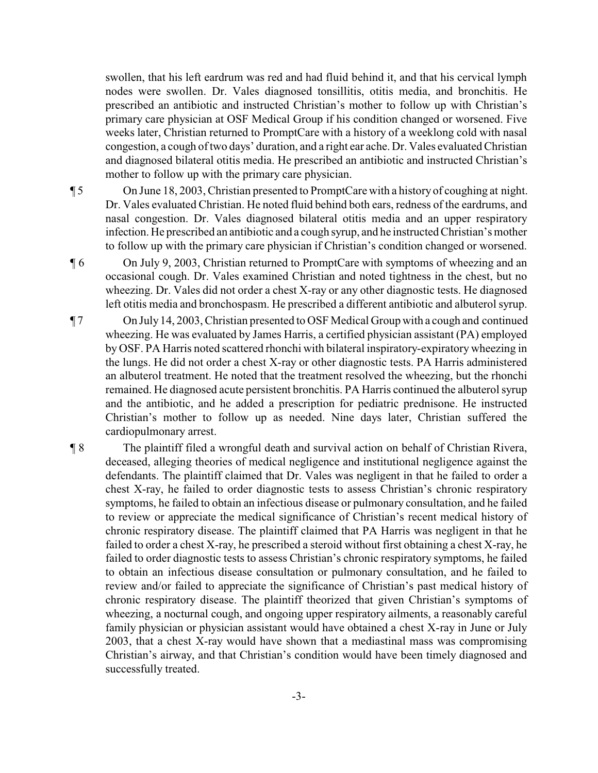swollen, that his left eardrum was red and had fluid behind it, and that his cervical lymph nodes were swollen. Dr. Vales diagnosed tonsillitis, otitis media, and bronchitis. He prescribed an antibiotic and instructed Christian's mother to follow up with Christian's primary care physician at OSF Medical Group if his condition changed or worsened. Five weeks later, Christian returned to PromptCare with a history of a weeklong cold with nasal congestion, a cough of two days' duration, and a right ear ache. Dr. Vales evaluated Christian and diagnosed bilateral otitis media. He prescribed an antibiotic and instructed Christian's mother to follow up with the primary care physician.

¶ 5 On June 18, 2003, Christian presented to PromptCare with a historyof coughing at night. Dr. Vales evaluated Christian. He noted fluid behind both ears, redness of the eardrums, and nasal congestion. Dr. Vales diagnosed bilateral otitis media and an upper respiratory infection. He prescribed an antibiotic and a cough syrup, and he instructed Christian's mother to follow up with the primary care physician if Christian's condition changed or worsened.

¶ 6 On July 9, 2003, Christian returned to PromptCare with symptoms of wheezing and an occasional cough. Dr. Vales examined Christian and noted tightness in the chest, but no wheezing. Dr. Vales did not order a chest X-ray or any other diagnostic tests. He diagnosed left otitis media and bronchospasm. He prescribed a different antibiotic and albuterol syrup.

- ¶ 7 On July14, 2003, Christian presented to OSF Medical Group with a cough and continued wheezing. He was evaluated by James Harris, a certified physician assistant (PA) employed by OSF. PA Harris noted scattered rhonchi with bilateral inspiratory-expiratory wheezing in the lungs. He did not order a chest X-ray or other diagnostic tests. PA Harris administered an albuterol treatment. He noted that the treatment resolved the wheezing, but the rhonchi remained. He diagnosed acute persistent bronchitis. PA Harris continued the albuterol syrup and the antibiotic, and he added a prescription for pediatric prednisone. He instructed Christian's mother to follow up as needed. Nine days later, Christian suffered the cardiopulmonary arrest.
- ¶ 8 The plaintiff filed a wrongful death and survival action on behalf of Christian Rivera, deceased, alleging theories of medical negligence and institutional negligence against the defendants. The plaintiff claimed that Dr. Vales was negligent in that he failed to order a chest X-ray, he failed to order diagnostic tests to assess Christian's chronic respiratory symptoms, he failed to obtain an infectious disease or pulmonary consultation, and he failed to review or appreciate the medical significance of Christian's recent medical history of chronic respiratory disease. The plaintiff claimed that PA Harris was negligent in that he failed to order a chest X-ray, he prescribed a steroid without first obtaining a chest X-ray, he failed to order diagnostic tests to assess Christian's chronic respiratory symptoms, he failed to obtain an infectious disease consultation or pulmonary consultation, and he failed to review and/or failed to appreciate the significance of Christian's past medical history of chronic respiratory disease. The plaintiff theorized that given Christian's symptoms of wheezing, a nocturnal cough, and ongoing upper respiratory ailments, a reasonably careful family physician or physician assistant would have obtained a chest X-ray in June or July 2003, that a chest X-ray would have shown that a mediastinal mass was compromising Christian's airway, and that Christian's condition would have been timely diagnosed and successfully treated.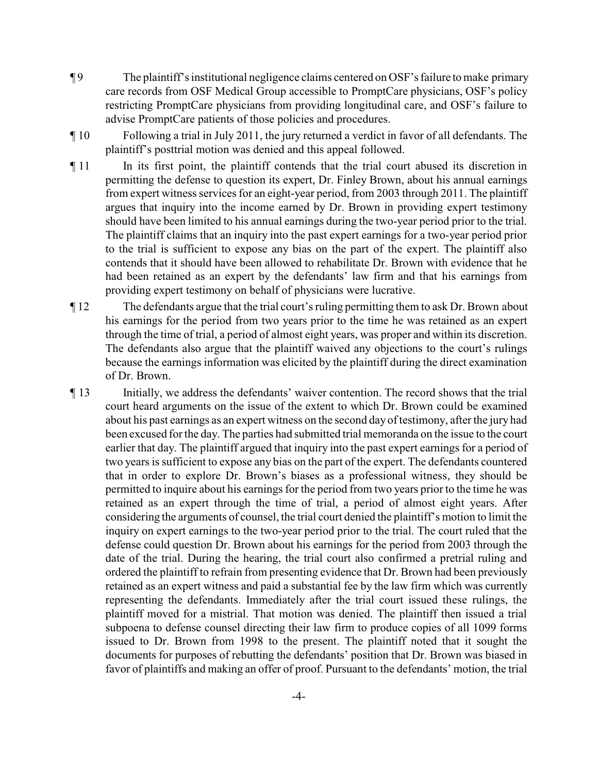- ¶ 9 The plaintiff's institutional negligence claims centered on OSF's failure to make primary care records from OSF Medical Group accessible to PromptCare physicians, OSF's policy restricting PromptCare physicians from providing longitudinal care, and OSF's failure to advise PromptCare patients of those policies and procedures.
- ¶ 10 Following a trial in July 2011, the jury returned a verdict in favor of all defendants. The plaintiff's posttrial motion was denied and this appeal followed.
- ¶ 11 In its first point, the plaintiff contends that the trial court abused its discretion in permitting the defense to question its expert, Dr. Finley Brown, about his annual earnings from expert witness services for an eight-year period, from 2003 through 2011. The plaintiff argues that inquiry into the income earned by Dr. Brown in providing expert testimony should have been limited to his annual earnings during the two-year period prior to the trial. The plaintiff claims that an inquiry into the past expert earnings for a two-year period prior to the trial is sufficient to expose any bias on the part of the expert. The plaintiff also contends that it should have been allowed to rehabilitate Dr. Brown with evidence that he had been retained as an expert by the defendants' law firm and that his earnings from providing expert testimony on behalf of physicians were lucrative.
- ¶ 12 The defendants argue that the trial court's ruling permitting them to ask Dr. Brown about his earnings for the period from two years prior to the time he was retained as an expert through the time of trial, a period of almost eight years, was proper and within its discretion. The defendants also argue that the plaintiff waived any objections to the court's rulings because the earnings information was elicited by the plaintiff during the direct examination of Dr. Brown.
- ¶ 13 Initially, we address the defendants' waiver contention. The record shows that the trial court heard arguments on the issue of the extent to which Dr. Brown could be examined about his past earnings as an expert witness on the second day of testimony, after the jury had been excused for the day. The parties had submitted trial memoranda on the issue to the court earlier that day. The plaintiff argued that inquiry into the past expert earnings for a period of two years is sufficient to expose any bias on the part of the expert. The defendants countered that in order to explore Dr. Brown's biases as a professional witness, they should be permitted to inquire about his earnings for the period from two years prior to the time he was retained as an expert through the time of trial, a period of almost eight years. After considering the arguments of counsel, the trial court denied the plaintiff's motion to limit the inquiry on expert earnings to the two-year period prior to the trial. The court ruled that the defense could question Dr. Brown about his earnings for the period from 2003 through the date of the trial. During the hearing, the trial court also confirmed a pretrial ruling and ordered the plaintiff to refrain from presenting evidence that Dr. Brown had been previously retained as an expert witness and paid a substantial fee by the law firm which was currently representing the defendants. Immediately after the trial court issued these rulings, the plaintiff moved for a mistrial. That motion was denied. The plaintiff then issued a trial subpoena to defense counsel directing their law firm to produce copies of all 1099 forms issued to Dr. Brown from 1998 to the present. The plaintiff noted that it sought the documents for purposes of rebutting the defendants' position that Dr. Brown was biased in favor of plaintiffs and making an offer of proof. Pursuant to the defendants' motion, the trial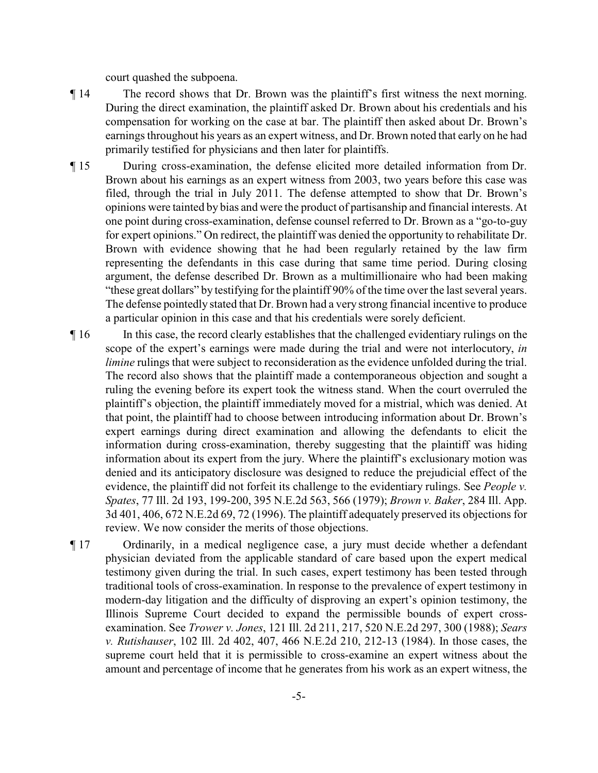court quashed the subpoena.

- ¶ 14 The record shows that Dr. Brown was the plaintiff's first witness the next morning. During the direct examination, the plaintiff asked Dr. Brown about his credentials and his compensation for working on the case at bar. The plaintiff then asked about Dr. Brown's earnings throughout his years as an expert witness, and Dr. Brown noted that early on he had primarily testified for physicians and then later for plaintiffs.
- ¶ 15 During cross-examination, the defense elicited more detailed information from Dr. Brown about his earnings as an expert witness from 2003, two years before this case was filed, through the trial in July 2011. The defense attempted to show that Dr. Brown's opinions were tainted by bias and were the product of partisanship and financial interests. At one point during cross-examination, defense counsel referred to Dr. Brown as a "go-to-guy for expert opinions." On redirect, the plaintiff was denied the opportunity to rehabilitate Dr. Brown with evidence showing that he had been regularly retained by the law firm representing the defendants in this case during that same time period. During closing argument, the defense described Dr. Brown as a multimillionaire who had been making "these great dollars" by testifying for the plaintiff 90% of the time over the last several years. The defense pointedly stated that Dr. Brown had a very strong financial incentive to produce a particular opinion in this case and that his credentials were sorely deficient.
- ¶ 16 In this case, the record clearly establishes that the challenged evidentiary rulings on the scope of the expert's earnings were made during the trial and were not interlocutory, *in limine* rulings that were subject to reconsideration as the evidence unfolded during the trial. The record also shows that the plaintiff made a contemporaneous objection and sought a ruling the evening before its expert took the witness stand. When the court overruled the plaintiff's objection, the plaintiff immediately moved for a mistrial, which was denied. At that point, the plaintiff had to choose between introducing information about Dr. Brown's expert earnings during direct examination and allowing the defendants to elicit the information during cross-examination, thereby suggesting that the plaintiff was hiding information about its expert from the jury. Where the plaintiff's exclusionary motion was denied and its anticipatory disclosure was designed to reduce the prejudicial effect of the evidence, the plaintiff did not forfeit its challenge to the evidentiary rulings. See *People v. Spates*, 77 Ill. 2d 193, 199-200, 395 N.E.2d 563, 566 (1979); *Brown v. Baker*, 284 Ill. App. 3d 401, 406, 672 N.E.2d 69, 72 (1996). The plaintiff adequately preserved its objections for review. We now consider the merits of those objections.
- ¶ 17 Ordinarily, in a medical negligence case, a jury must decide whether a defendant physician deviated from the applicable standard of care based upon the expert medical testimony given during the trial. In such cases, expert testimony has been tested through traditional tools of cross-examination. In response to the prevalence of expert testimony in modern-day litigation and the difficulty of disproving an expert's opinion testimony, the Illinois Supreme Court decided to expand the permissible bounds of expert crossexamination. See *Trower v. Jones*, 121 Ill. 2d 211, 217, 520 N.E.2d 297, 300 (1988); *Sears v. Rutishauser*, 102 Ill. 2d 402, 407, 466 N.E.2d 210, 212-13 (1984). In those cases, the supreme court held that it is permissible to cross-examine an expert witness about the amount and percentage of income that he generates from his work as an expert witness, the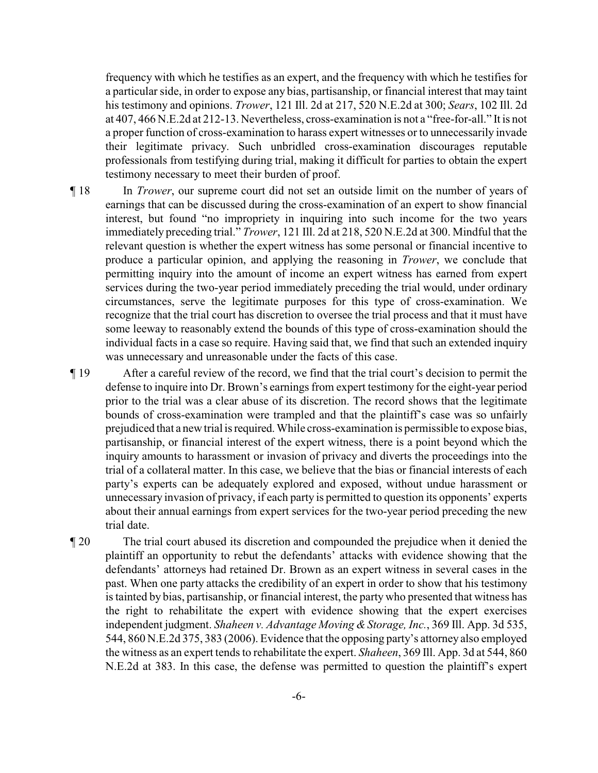frequency with which he testifies as an expert, and the frequency with which he testifies for a particular side, in order to expose any bias, partisanship, or financial interest that may taint his testimony and opinions. *Trower*, 121 Ill. 2d at 217, 520 N.E.2d at 300; *Sears*, 102 Ill. 2d at 407, 466 N.E.2d at 212-13. Nevertheless, cross-examination is not a "free-for-all." It is not a proper function of cross-examination to harass expert witnesses or to unnecessarily invade their legitimate privacy. Such unbridled cross-examination discourages reputable professionals from testifying during trial, making it difficult for parties to obtain the expert testimony necessary to meet their burden of proof.

¶ 18 In *Trower*, our supreme court did not set an outside limit on the number of years of earnings that can be discussed during the cross-examination of an expert to show financial interest, but found "no impropriety in inquiring into such income for the two years immediately preceding trial." *Trower*, 121 Ill. 2d at 218, 520 N.E.2d at 300. Mindful that the relevant question is whether the expert witness has some personal or financial incentive to produce a particular opinion, and applying the reasoning in *Trower*, we conclude that permitting inquiry into the amount of income an expert witness has earned from expert services during the two-year period immediately preceding the trial would, under ordinary circumstances, serve the legitimate purposes for this type of cross-examination. We recognize that the trial court has discretion to oversee the trial process and that it must have some leeway to reasonably extend the bounds of this type of cross-examination should the individual facts in a case so require. Having said that, we find that such an extended inquiry was unnecessary and unreasonable under the facts of this case.

¶ 19 After a careful review of the record, we find that the trial court's decision to permit the defense to inquire into Dr. Brown's earnings from expert testimony for the eight-year period prior to the trial was a clear abuse of its discretion. The record shows that the legitimate bounds of cross-examination were trampled and that the plaintiff's case was so unfairly prejudiced that a new trial is required.While cross-examination is permissible to expose bias, partisanship, or financial interest of the expert witness, there is a point beyond which the inquiry amounts to harassment or invasion of privacy and diverts the proceedings into the trial of a collateral matter. In this case, we believe that the bias or financial interests of each party's experts can be adequately explored and exposed, without undue harassment or unnecessary invasion of privacy, if each party is permitted to question its opponents' experts about their annual earnings from expert services for the two-year period preceding the new trial date.

¶ 20 The trial court abused its discretion and compounded the prejudice when it denied the plaintiff an opportunity to rebut the defendants' attacks with evidence showing that the defendants' attorneys had retained Dr. Brown as an expert witness in several cases in the past. When one party attacks the credibility of an expert in order to show that his testimony is tainted by bias, partisanship, or financial interest, the party who presented that witness has the right to rehabilitate the expert with evidence showing that the expert exercises independent judgment. *Shaheen v. Advantage Moving & Storage, Inc.*, 369 Ill. App. 3d 535, 544, 860 N.E.2d 375, 383 (2006). Evidence that the opposing party's attorney also employed the witness as an expert tends to rehabilitate the expert. *Shaheen*, 369 Ill. App. 3d at 544, 860 N.E.2d at 383. In this case, the defense was permitted to question the plaintiff's expert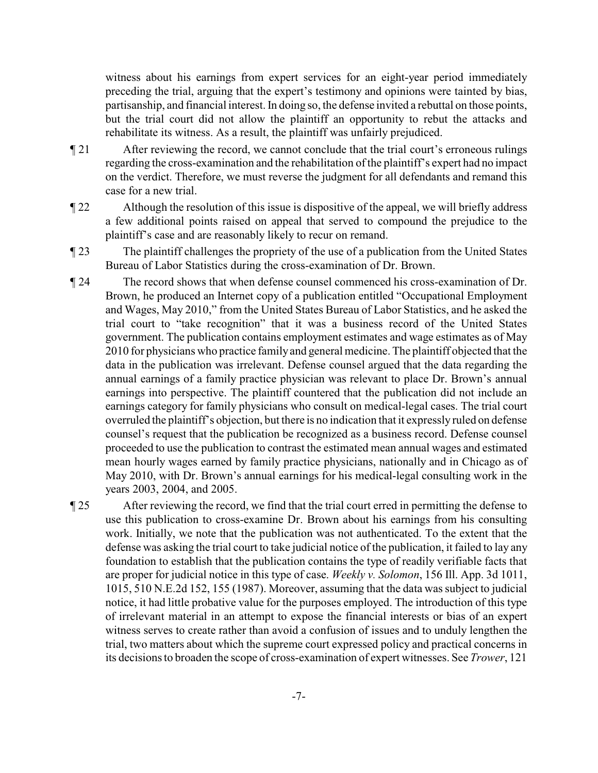witness about his earnings from expert services for an eight-year period immediately preceding the trial, arguing that the expert's testimony and opinions were tainted by bias, partisanship, and financial interest. In doing so, the defense invited a rebuttal on those points, but the trial court did not allow the plaintiff an opportunity to rebut the attacks and rehabilitate its witness. As a result, the plaintiff was unfairly prejudiced.

- ¶ 21 After reviewing the record, we cannot conclude that the trial court's erroneous rulings regarding the cross-examination and the rehabilitation of the plaintiff's expert had no impact on the verdict. Therefore, we must reverse the judgment for all defendants and remand this case for a new trial.
- ¶ 22 Although the resolution of this issue is dispositive of the appeal, we will briefly address a few additional points raised on appeal that served to compound the prejudice to the plaintiff's case and are reasonably likely to recur on remand.
- ¶ 23 The plaintiff challenges the propriety of the use of a publication from the United States Bureau of Labor Statistics during the cross-examination of Dr. Brown.
- ¶ 24 The record shows that when defense counsel commenced his cross-examination of Dr. Brown, he produced an Internet copy of a publication entitled "Occupational Employment and Wages, May 2010," from the United States Bureau of Labor Statistics, and he asked the trial court to "take recognition" that it was a business record of the United States government. The publication contains employment estimates and wage estimates as of May 2010 for physicians who practice familyand general medicine. The plaintiff objected that the data in the publication was irrelevant. Defense counsel argued that the data regarding the annual earnings of a family practice physician was relevant to place Dr. Brown's annual earnings into perspective. The plaintiff countered that the publication did not include an earnings category for family physicians who consult on medical-legal cases. The trial court overruled the plaintiff's objection, but there is no indication that it expressly ruled on defense counsel's request that the publication be recognized as a business record. Defense counsel proceeded to use the publication to contrast the estimated mean annual wages and estimated mean hourly wages earned by family practice physicians, nationally and in Chicago as of May 2010, with Dr. Brown's annual earnings for his medical-legal consulting work in the years 2003, 2004, and 2005.

¶ 25 After reviewing the record, we find that the trial court erred in permitting the defense to use this publication to cross-examine Dr. Brown about his earnings from his consulting work. Initially, we note that the publication was not authenticated. To the extent that the defense was asking the trial court to take judicial notice of the publication, it failed to lay any foundation to establish that the publication contains the type of readily verifiable facts that are proper for judicial notice in this type of case. *Weekly v. Solomon*, 156 Ill. App. 3d 1011, 1015, 510 N.E.2d 152, 155 (1987). Moreover, assuming that the data was subject to judicial notice, it had little probative value for the purposes employed. The introduction of this type of irrelevant material in an attempt to expose the financial interests or bias of an expert witness serves to create rather than avoid a confusion of issues and to unduly lengthen the trial, two matters about which the supreme court expressed policy and practical concerns in its decisions to broaden the scope of cross-examination of expert witnesses. See *Trower*, 121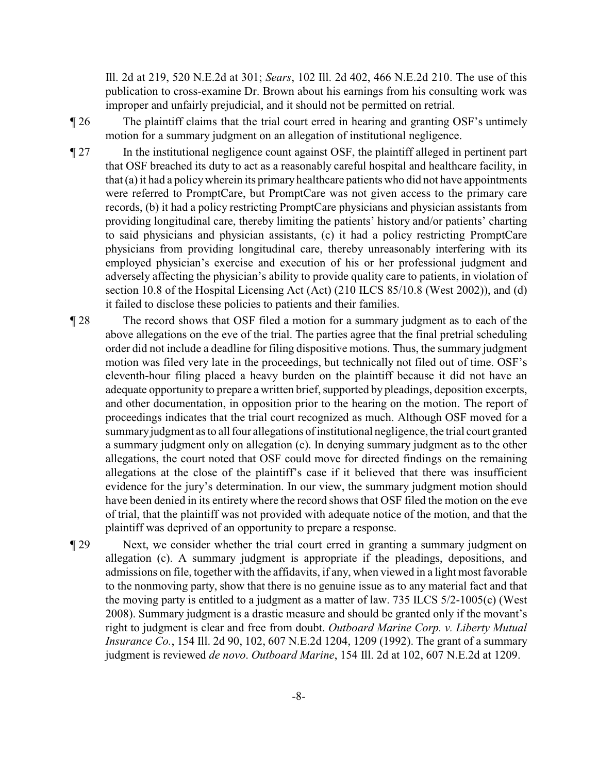Ill. 2d at 219, 520 N.E.2d at 301; *Sears*, 102 Ill. 2d 402, 466 N.E.2d 210. The use of this publication to cross-examine Dr. Brown about his earnings from his consulting work was improper and unfairly prejudicial, and it should not be permitted on retrial.

¶ 26 The plaintiff claims that the trial court erred in hearing and granting OSF's untimely motion for a summary judgment on an allegation of institutional negligence.

- ¶ 27 In the institutional negligence count against OSF, the plaintiff alleged in pertinent part that OSF breached its duty to act as a reasonably careful hospital and healthcare facility, in that (a)it had a policywherein its primaryhealthcare patients who did not have appointments were referred to PromptCare, but PromptCare was not given access to the primary care records, (b) it had a policy restricting PromptCare physicians and physician assistants from providing longitudinal care, thereby limiting the patients' history and/or patients' charting to said physicians and physician assistants, (c) it had a policy restricting PromptCare physicians from providing longitudinal care, thereby unreasonably interfering with its employed physician's exercise and execution of his or her professional judgment and adversely affecting the physician's ability to provide quality care to patients, in violation of section 10.8 of the Hospital Licensing Act (Act) (210 ILCS 85/10.8 (West 2002)), and (d) it failed to disclose these policies to patients and their families.
- ¶ 28 The record shows that OSF filed a motion for a summary judgment as to each of the above allegations on the eve of the trial. The parties agree that the final pretrial scheduling order did not include a deadline for filing dispositive motions. Thus, the summary judgment motion was filed very late in the proceedings, but technically not filed out of time. OSF's eleventh-hour filing placed a heavy burden on the plaintiff because it did not have an adequate opportunity to prepare a written brief, supported by pleadings, deposition excerpts, and other documentation, in opposition prior to the hearing on the motion. The report of proceedings indicates that the trial court recognized as much. Although OSF moved for a summaryjudgment as to all four allegations of institutional negligence, the trial court granted a summary judgment only on allegation (c). In denying summary judgment as to the other allegations, the court noted that OSF could move for directed findings on the remaining allegations at the close of the plaintiff's case if it believed that there was insufficient evidence for the jury's determination. In our view, the summary judgment motion should have been denied in its entirety where the record shows that OSF filed the motion on the eve of trial, that the plaintiff was not provided with adequate notice of the motion, and that the plaintiff was deprived of an opportunity to prepare a response.
- ¶ 29 Next, we consider whether the trial court erred in granting a summary judgment on allegation (c). A summary judgment is appropriate if the pleadings, depositions, and admissions on file, together with the affidavits, if any, when viewed in a light most favorable to the nonmoving party, show that there is no genuine issue as to any material fact and that the moving party is entitled to a judgment as a matter of law. 735 ILCS 5/2-1005(c) (West 2008). Summary judgment is a drastic measure and should be granted only if the movant's right to judgment is clear and free from doubt. *Outboard Marine Corp. v. Liberty Mutual Insurance Co.*, 154 Ill. 2d 90, 102, 607 N.E.2d 1204, 1209 (1992). The grant of a summary judgment is reviewed *de novo*. *Outboard Marine*, 154 Ill. 2d at 102, 607 N.E.2d at 1209.